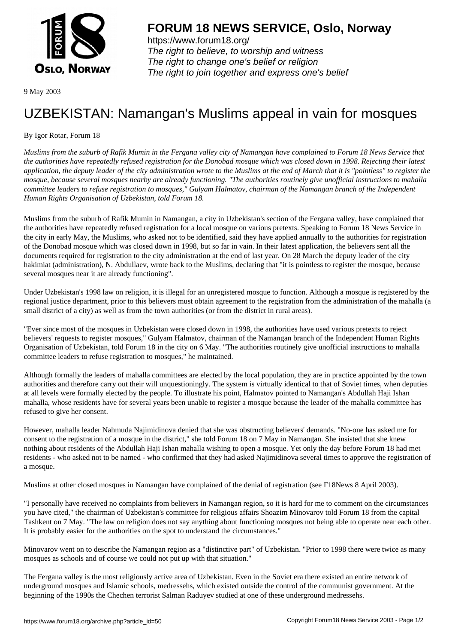

https://www.forum18.org/ The right to believe, to worship and witness The right to change one's belief or religion [The right to join together a](https://www.forum18.org/)nd express one's belief

9 May 2003

## [UZBEKISTAN:](https://www.forum18.org) Namangan's Muslims appeal in vain for mosques

By Igor Rotar, Forum 18

*Muslims from the suburb of Rafik Mumin in the Fergana valley city of Namangan have complained to Forum 18 News Service that the authorities have repeatedly refused registration for the Donobad mosque which was closed down in 1998. Rejecting their latest application, the deputy leader of the city administration wrote to the Muslims at the end of March that it is "pointless" to register the mosque, because several mosques nearby are already functioning. "The authorities routinely give unofficial instructions to mahalla committee leaders to refuse registration to mosques," Gulyam Halmatov, chairman of the Namangan branch of the Independent Human Rights Organisation of Uzbekistan, told Forum 18.*

Muslims from the suburb of Rafik Mumin in Namangan, a city in Uzbekistan's section of the Fergana valley, have complained that the authorities have repeatedly refused registration for a local mosque on various pretexts. Speaking to Forum 18 News Service in the city in early May, the Muslims, who asked not to be identified, said they have applied annually to the authorities for registration of the Donobad mosque which was closed down in 1998, but so far in vain. In their latest application, the believers sent all the documents required for registration to the city administration at the end of last year. On 28 March the deputy leader of the city hakimiat (administration), N. Abdullaev, wrote back to the Muslims, declaring that "it is pointless to register the mosque, because several mosques near it are already functioning".

Under Uzbekistan's 1998 law on religion, it is illegal for an unregistered mosque to function. Although a mosque is registered by the regional justice department, prior to this believers must obtain agreement to the registration from the administration of the mahalla (a small district of a city) as well as from the town authorities (or from the district in rural areas).

"Ever since most of the mosques in Uzbekistan were closed down in 1998, the authorities have used various pretexts to reject believers' requests to register mosques," Gulyam Halmatov, chairman of the Namangan branch of the Independent Human Rights Organisation of Uzbekistan, told Forum 18 in the city on 6 May. "The authorities routinely give unofficial instructions to mahalla committee leaders to refuse registration to mosques," he maintained.

Although formally the leaders of mahalla committees are elected by the local population, they are in practice appointed by the town authorities and therefore carry out their will unquestioningly. The system is virtually identical to that of Soviet times, when deputies at all levels were formally elected by the people. To illustrate his point, Halmatov pointed to Namangan's Abdullah Haji Ishan mahalla, whose residents have for several years been unable to register a mosque because the leader of the mahalla committee has refused to give her consent.

However, mahalla leader Nahmuda Najimidinova denied that she was obstructing believers' demands. "No-one has asked me for consent to the registration of a mosque in the district," she told Forum 18 on 7 May in Namangan. She insisted that she knew nothing about residents of the Abdullah Haji Ishan mahalla wishing to open a mosque. Yet only the day before Forum 18 had met residents - who asked not to be named - who confirmed that they had asked Najimidinova several times to approve the registration of a mosque.

Muslims at other closed mosques in Namangan have complained of the denial of registration (see F18News 8 April 2003).

"I personally have received no complaints from believers in Namangan region, so it is hard for me to comment on the circumstances you have cited," the chairman of Uzbekistan's committee for religious affairs Shoazim Minovarov told Forum 18 from the capital Tashkent on 7 May. "The law on religion does not say anything about functioning mosques not being able to operate near each other. It is probably easier for the authorities on the spot to understand the circumstances."

Minovarov went on to describe the Namangan region as a "distinctive part" of Uzbekistan. "Prior to 1998 there were twice as many mosques as schools and of course we could not put up with that situation."

The Fergana valley is the most religiously active area of Uzbekistan. Even in the Soviet era there existed an entire network of underground mosques and Islamic schools, medressehs, which existed outside the control of the communist government. At the beginning of the 1990s the Chechen terrorist Salman Raduyev studied at one of these underground medressehs.